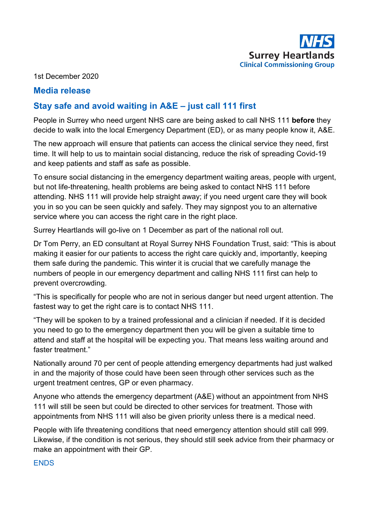

1st December 2020

## **Media release**

# **Stay safe and avoid waiting in A&E – just call 111 first**

People in Surrey who need urgent NHS care are being asked to call NHS 111 **before** they decide to walk into the local Emergency Department (ED), or as many people know it, A&E.

The new approach will ensure that patients can access the clinical service they need, first time. It will help to us to maintain social distancing, reduce the risk of spreading Covid-19 and keep patients and staff as safe as possible.

To ensure social distancing in the emergency department waiting areas, people with urgent, but not life-threatening, health problems are being asked to contact NHS 111 before attending. NHS 111 will provide help straight away; if you need urgent care they will book you in so you can be seen quickly and safely. They may signpost you to an alternative service where you can access the right care in the right place.

Surrey Heartlands will go-live on 1 December as part of the national roll out.

Dr Tom Perry, an ED consultant at Royal Surrey NHS Foundation Trust, said: "This is about making it easier for our patients to access the right care quickly and, importantly, keeping them safe during the pandemic. This winter it is crucial that we carefully manage the numbers of people in our emergency department and calling NHS 111 first can help to prevent overcrowding.

"This is specifically for people who are not in serious danger but need urgent attention. The fastest way to get the right care is to contact NHS 111.

"They will be spoken to by a trained professional and a clinician if needed. If it is decided you need to go to the emergency department then you will be given a suitable time to attend and staff at the hospital will be expecting you. That means less waiting around and faster treatment."

Nationally around 70 per cent of people attending emergency departments had just walked in and the majority of those could have been seen through other services such as the urgent treatment centres, GP or even pharmacy.

Anyone who attends the emergency department (A&E) without an appointment from NHS 111 will still be seen but could be directed to other services for treatment. Those with appointments from NHS 111 will also be given priority unless there is a medical need.

People with life threatening conditions that need emergency attention should still call 999. Likewise, if the condition is not serious, they should still seek advice from their pharmacy or make an appointment with their GP.

#### **ENDS**